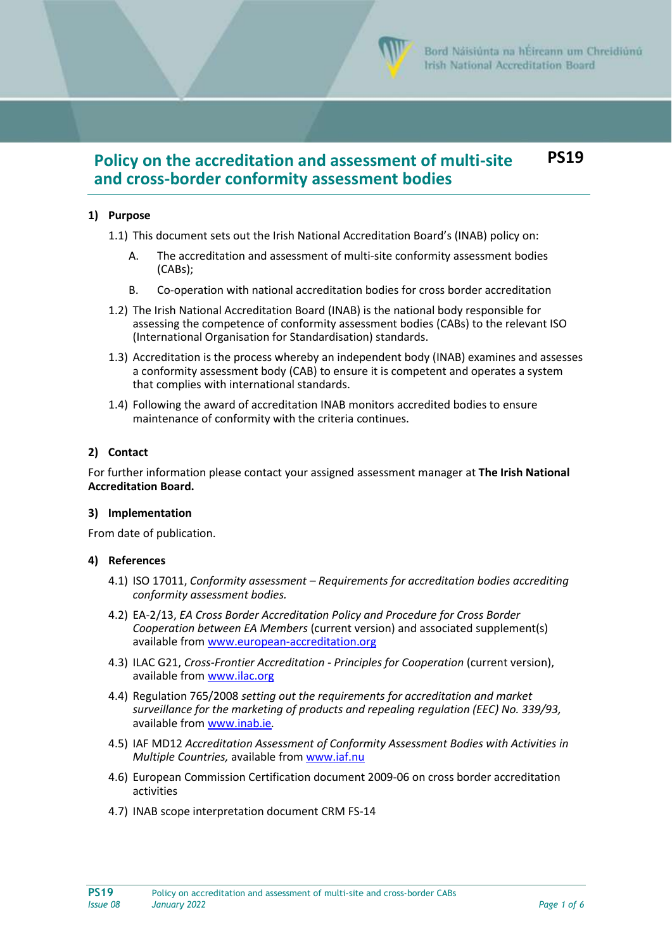

#### **Policy on the accreditation and assessment of multi-site and cross-border conformity assessment bodies PS19**

### **1) Purpose**

- 1.1) This document sets out the Irish National Accreditation Board's (INAB) policy on:
	- A. The accreditation and assessment of multi-site conformity assessment bodies (CABs);
	- B. Co-operation with national accreditation bodies for cross border accreditation
- 1.2) The Irish National Accreditation Board (INAB) is the national body responsible for assessing the competence of conformity assessment bodies (CABs) to the relevant ISO (International Organisation for Standardisation) standards.
- 1.3) Accreditation is the process whereby an independent body (INAB) examines and assesses a conformity assessment body (CAB) to ensure it is competent and operates a system that complies with international standards.
- 1.4) Following the award of accreditation INAB monitors accredited bodies to ensure maintenance of conformity with the criteria continues.

#### **2) Contact**

For further information please contact your assigned assessment manager at **The Irish National Accreditation Board.**

#### **3) Implementation**

From date of publication.

#### **4) References**

- 4.1) ISO 17011, *Conformity assessment – Requirements for accreditation bodies accrediting conformity assessment bodies.*
- 4.2) EA-2/13, *EA Cross Border Accreditation Policy and Procedure for Cross Border Cooperation between EA Members* (current version) and associated supplement(s) available from [www.european-accreditation.org](http://www.european-accreditation.org/)
- 4.3) ILAC G21, *Cross-Frontier Accreditation - Principles for Cooperation* (current version), available from www.ilac.org
- 4.4) Regulation 765/2008 *setting out the requirements for accreditation and market surveillance for the marketing of products and repealing regulation (EEC) No. 339/93,* available from [www.inab.ie](http://www.inab.ie/)*.*
- 4.5) IAF MD12 *Accreditation Assessment of Conformity Assessment Bodies with Activities in Multiple Countries,* available from [www.iaf.nu](http://www.iaf.nu/)
- 4.6) European Commission Certification document 2009-06 on cross border accreditation activities
- 4.7) INAB scope interpretation document CRM FS-14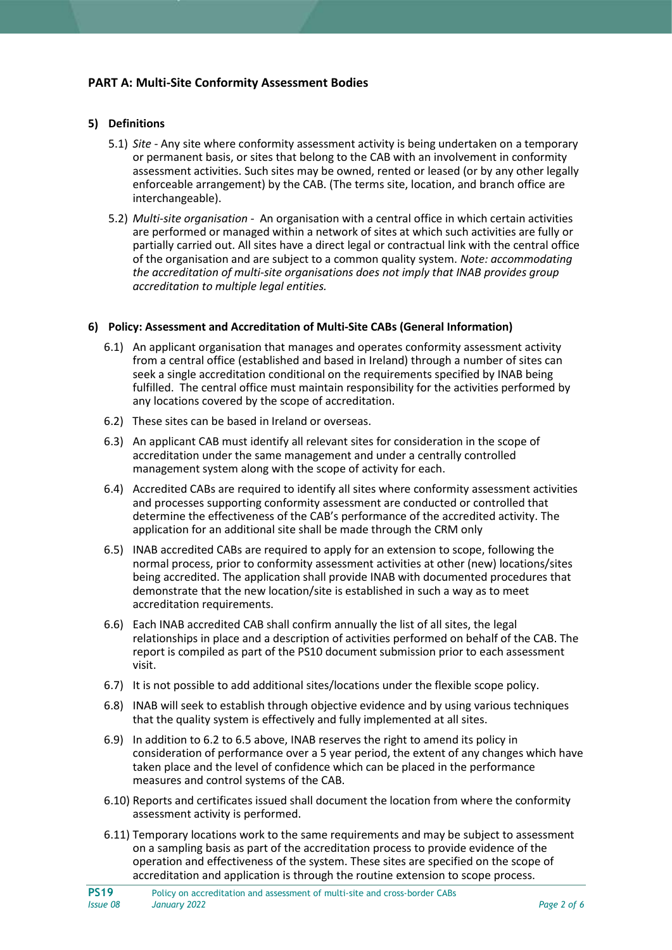# **PART A: Multi-Site Conformity Assessment Bodies**

### **5) Definitions**

- 5.1) *Site* Any site where conformity assessment activity is being undertaken on a temporary or permanent basis, or sites that belong to the CAB with an involvement in conformity assessment activities. Such sites may be owned, rented or leased (or by any other legally enforceable arrangement) by the CAB. (The terms site, location, and branch office are interchangeable).
- 5.2) *Multi-site organisation* An organisation with a central office in which certain activities are performed or managed within a network of sites at which such activities are fully or partially carried out. All sites have a direct legal or contractual link with the central office of the organisation and are subject to a common quality system. *Note: accommodating the accreditation of multi-site organisations does not imply that INAB provides group accreditation to multiple legal entities.*

#### **6) Policy: Assessment and Accreditation of Multi-Site CABs (General Information)**

- 6.1) An applicant organisation that manages and operates conformity assessment activity from a central office (established and based in Ireland) through a number of sites can seek a single accreditation conditional on the requirements specified by INAB being fulfilled. The central office must maintain responsibility for the activities performed by any locations covered by the scope of accreditation.
- 6.2) These sites can be based in Ireland or overseas.
- 6.3) An applicant CAB must identify all relevant sites for consideration in the scope of accreditation under the same management and under a centrally controlled management system along with the scope of activity for each.
- 6.4) Accredited CABs are required to identify all sites where conformity assessment activities and processes supporting conformity assessment are conducted or controlled that determine the effectiveness of the CAB's performance of the accredited activity. The application for an additional site shall be made through the CRM only
- 6.5) INAB accredited CABs are required to apply for an extension to scope, following the normal process, prior to conformity assessment activities at other (new) locations/sites being accredited. The application shall provide INAB with documented procedures that demonstrate that the new location/site is established in such a way as to meet accreditation requirements.
- 6.6) Each INAB accredited CAB shall confirm annually the list of all sites, the legal relationships in place and a description of activities performed on behalf of the CAB. The report is compiled as part of the PS10 document submission prior to each assessment visit.
- 6.7) It is not possible to add additional sites/locations under the flexible scope policy.
- 6.8) INAB will seek to establish through objective evidence and by using various techniques that the quality system is effectively and fully implemented at all sites.
- 6.9) In addition to 6.2 to 6.5 above, INAB reserves the right to amend its policy in consideration of performance over a 5 year period, the extent of any changes which have taken place and the level of confidence which can be placed in the performance measures and control systems of the CAB.
- 6.10) Reports and certificates issued shall document the location from where the conformity assessment activity is performed.
- 6.11) Temporary locations work to the same requirements and may be subject to assessment on a sampling basis as part of the accreditation process to provide evidence of the operation and effectiveness of the system. These sites are specified on the scope of accreditation and application is through the routine extension to scope process.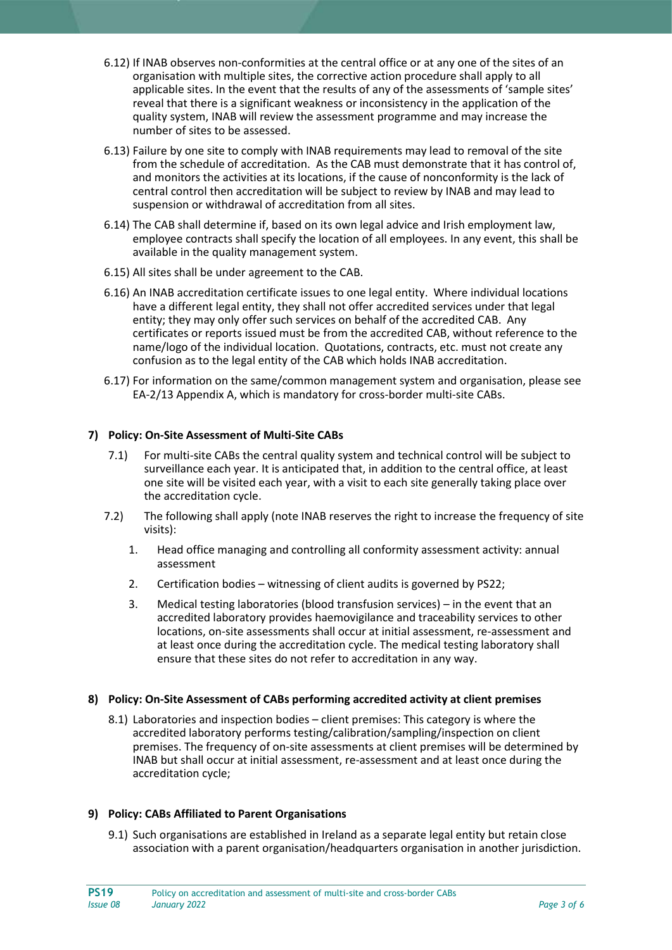- 6.12) If INAB observes non-conformities at the central office or at any one of the sites of an organisation with multiple sites, the corrective action procedure shall apply to all applicable sites. In the event that the results of any of the assessments of 'sample sites' reveal that there is a significant weakness or inconsistency in the application of the quality system, INAB will review the assessment programme and may increase the number of sites to be assessed.
- 6.13) Failure by one site to comply with INAB requirements may lead to removal of the site from the schedule of accreditation. As the CAB must demonstrate that it has control of, and monitors the activities at its locations, if the cause of nonconformity is the lack of central control then accreditation will be subject to review by INAB and may lead to suspension or withdrawal of accreditation from all sites.
- 6.14) The CAB shall determine if, based on its own legal advice and Irish employment law, employee contracts shall specify the location of all employees. In any event, this shall be available in the quality management system.
- 6.15) All sites shall be under agreement to the CAB.
- 6.16) An INAB accreditation certificate issues to one legal entity. Where individual locations have a different legal entity, they shall not offer accredited services under that legal entity; they may only offer such services on behalf of the accredited CAB. Any certificates or reports issued must be from the accredited CAB, without reference to the name/logo of the individual location. Quotations, contracts, etc. must not create any confusion as to the legal entity of the CAB which holds INAB accreditation.
- 6.17) For information on the same/common management system and organisation, please see EA-2/13 Appendix A, which is mandatory for cross-border multi-site CABs.

## **7) Policy: On-Site Assessment of Multi-Site CABs**

- 7.1) For multi-site CABs the central quality system and technical control will be subject to surveillance each year. It is anticipated that, in addition to the central office, at least one site will be visited each year, with a visit to each site generally taking place over the accreditation cycle.
- 7.2) The following shall apply (note INAB reserves the right to increase the frequency of site visits):
	- 1. Head office managing and controlling all conformity assessment activity: annual assessment
	- 2. Certification bodies witnessing of client audits is governed by PS22;
	- 3. Medical testing laboratories (blood transfusion services) in the event that an accredited laboratory provides haemovigilance and traceability services to other locations, on-site assessments shall occur at initial assessment, re-assessment and at least once during the accreditation cycle. The medical testing laboratory shall ensure that these sites do not refer to accreditation in any way.

#### **8) Policy: On-Site Assessment of CABs performing accredited activity at client premises**

8.1) Laboratories and inspection bodies – client premises: This category is where the accredited laboratory performs testing/calibration/sampling/inspection on client premises. The frequency of on-site assessments at client premises will be determined by INAB but shall occur at initial assessment, re-assessment and at least once during the accreditation cycle;

#### **9) Policy: CABs Affiliated to Parent Organisations**

9.1) Such organisations are established in Ireland as a separate legal entity but retain close association with a parent organisation/headquarters organisation in another jurisdiction.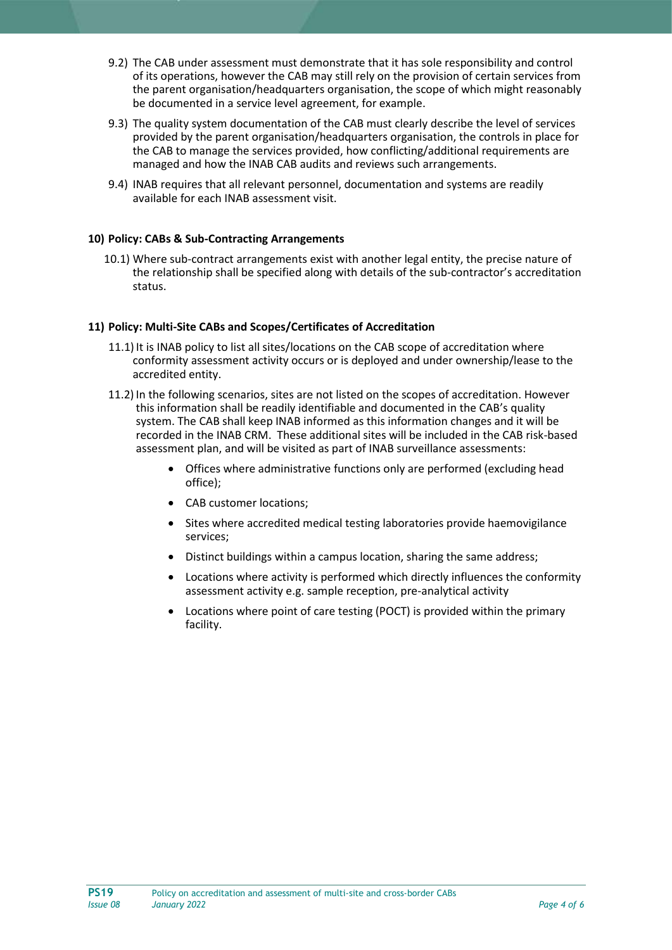- 9.2) The CAB under assessment must demonstrate that it has sole responsibility and control of its operations, however the CAB may still rely on the provision of certain services from the parent organisation/headquarters organisation, the scope of which might reasonably be documented in a service level agreement, for example.
- 9.3) The quality system documentation of the CAB must clearly describe the level of services provided by the parent organisation/headquarters organisation, the controls in place for the CAB to manage the services provided, how conflicting/additional requirements are managed and how the INAB CAB audits and reviews such arrangements.
- 9.4) INAB requires that all relevant personnel, documentation and systems are readily available for each INAB assessment visit.

#### **10) Policy: CABs & Sub-Contracting Arrangements**

10.1) Where sub-contract arrangements exist with another legal entity, the precise nature of the relationship shall be specified along with details of the sub-contractor's accreditation status.

#### **11) Policy: Multi-Site CABs and Scopes/Certificates of Accreditation**

- 11.1) It is INAB policy to list all sites/locations on the CAB scope of accreditation where conformity assessment activity occurs or is deployed and under ownership/lease to the accredited entity.
- 11.2) In the following scenarios, sites are not listed on the scopes of accreditation. However this information shall be readily identifiable and documented in the CAB's quality system. The CAB shall keep INAB informed as this information changes and it will be recorded in the INAB CRM. These additional sites will be included in the CAB risk-based assessment plan, and will be visited as part of INAB surveillance assessments:
	- Offices where administrative functions only are performed (excluding head office);
	- CAB customer locations:
	- Sites where accredited medical testing laboratories provide haemovigilance services;
	- Distinct buildings within a campus location, sharing the same address;
	- Locations where activity is performed which directly influences the conformity assessment activity e.g. sample reception, pre-analytical activity
	- Locations where point of care testing (POCT) is provided within the primary facility.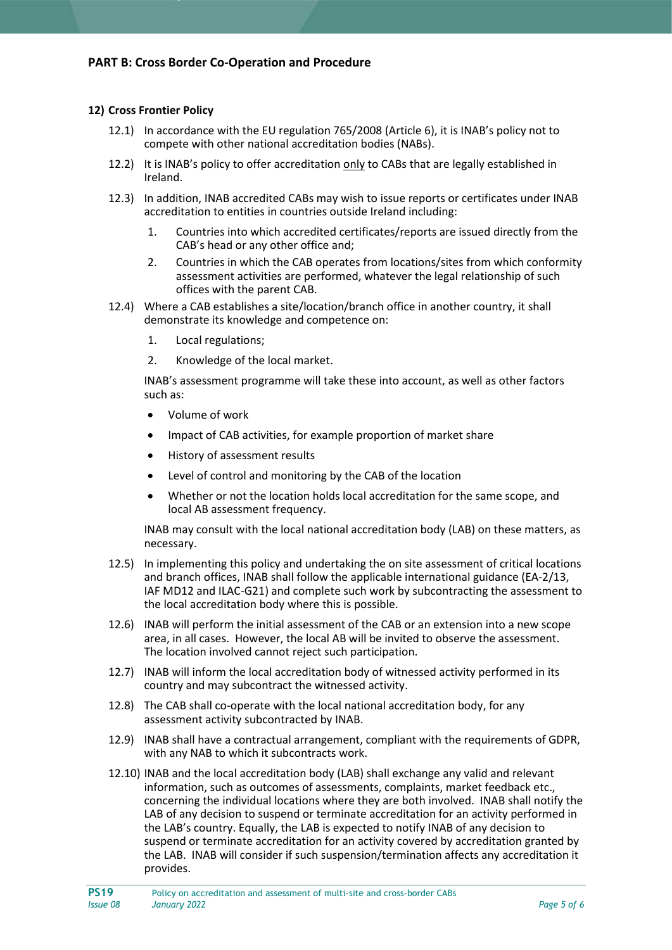#### **12) Cross Frontier Policy**

- 12.1) In accordance with the EU regulation 765/2008 (Article 6), it is INAB's policy not to compete with other national accreditation bodies (NABs).
- 12.2) It is INAB's policy to offer accreditation only to CABs that are legally established in Ireland.
- 12.3) In addition, INAB accredited CABs may wish to issue reports or certificates under INAB accreditation to entities in countries outside Ireland including:
	- 1. Countries into which accredited certificates/reports are issued directly from the CAB's head or any other office and;
	- 2. Countries in which the CAB operates from locations/sites from which conformity assessment activities are performed, whatever the legal relationship of such offices with the parent CAB.
- 12.4) Where a CAB establishes a site/location/branch office in another country, it shall demonstrate its knowledge and competence on:
	- 1. Local regulations;
	- 2. Knowledge of the local market.

INAB's assessment programme will take these into account, as well as other factors such as:

- Volume of work
- Impact of CAB activities, for example proportion of market share
- History of assessment results
- Level of control and monitoring by the CAB of the location
- Whether or not the location holds local accreditation for the same scope, and local AB assessment frequency.

INAB may consult with the local national accreditation body (LAB) on these matters, as necessary.

- 12.5) In implementing this policy and undertaking the on site assessment of critical locations and branch offices, INAB shall follow the applicable international guidance (EA-2/13, IAF MD12 and ILAC-G21) and complete such work by subcontracting the assessment to the local accreditation body where this is possible.
- 12.6) INAB will perform the initial assessment of the CAB or an extension into a new scope area, in all cases. However, the local AB will be invited to observe the assessment. The location involved cannot reject such participation.
- 12.7) INAB will inform the local accreditation body of witnessed activity performed in its country and may subcontract the witnessed activity.
- 12.8) The CAB shall co-operate with the local national accreditation body, for any assessment activity subcontracted by INAB.
- 12.9) INAB shall have a contractual arrangement, compliant with the requirements of GDPR, with any NAB to which it subcontracts work.
- 12.10) INAB and the local accreditation body (LAB) shall exchange any valid and relevant information, such as outcomes of assessments, complaints, market feedback etc., concerning the individual locations where they are both involved. INAB shall notify the LAB of any decision to suspend or terminate accreditation for an activity performed in the LAB's country. Equally, the LAB is expected to notify INAB of any decision to suspend or terminate accreditation for an activity covered by accreditation granted by the LAB. INAB will consider if such suspension/termination affects any accreditation it provides.